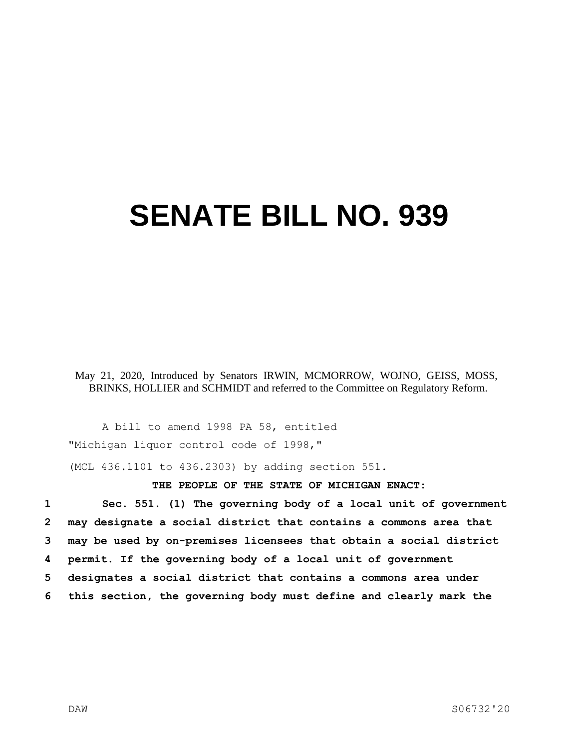## **SENATE BILL NO. 939**

May 21, 2020, Introduced by Senators IRWIN, MCMORROW, WOJNO, GEISS, MOSS, BRINKS, HOLLIER and SCHMIDT and referred to the Committee on Regulatory Reform.

A bill to amend 1998 PA 58, entitled "Michigan liquor control code of 1998,"

(MCL 436.1101 to 436.2303) by adding section 551.

**THE PEOPLE OF THE STATE OF MICHIGAN ENACT:**

 **Sec. 551. (1) The governing body of a local unit of government may designate a social district that contains a commons area that may be used by on-premises licensees that obtain a social district permit. If the governing body of a local unit of government designates a social district that contains a commons area under this section, the governing body must define and clearly mark the**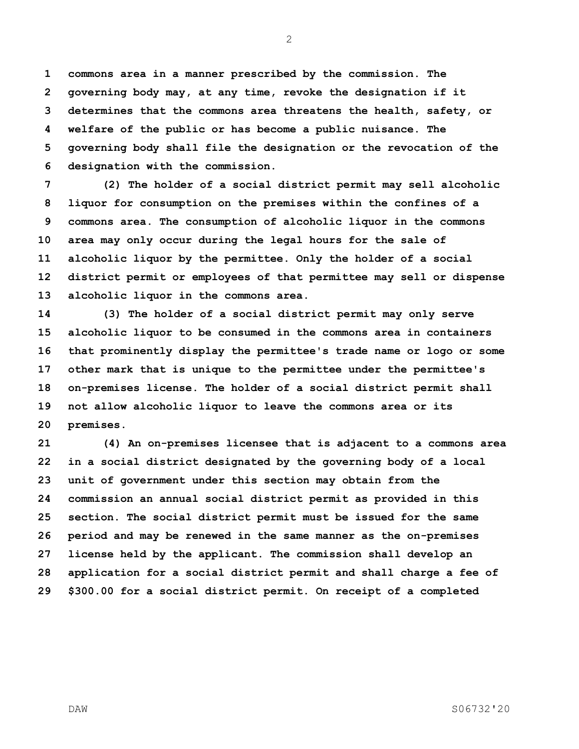**commons area in a manner prescribed by the commission. The governing body may, at any time, revoke the designation if it determines that the commons area threatens the health, safety, or welfare of the public or has become a public nuisance. The governing body shall file the designation or the revocation of the designation with the commission.**

 **(2) The holder of a social district permit may sell alcoholic liquor for consumption on the premises within the confines of a commons area. The consumption of alcoholic liquor in the commons area may only occur during the legal hours for the sale of alcoholic liquor by the permittee. Only the holder of a social district permit or employees of that permittee may sell or dispense alcoholic liquor in the commons area.**

 **(3) The holder of a social district permit may only serve alcoholic liquor to be consumed in the commons area in containers that prominently display the permittee's trade name or logo or some other mark that is unique to the permittee under the permittee's on-premises license. The holder of a social district permit shall not allow alcoholic liquor to leave the commons area or its premises.**

 **(4) An on-premises licensee that is adjacent to a commons area in a social district designated by the governing body of a local unit of government under this section may obtain from the commission an annual social district permit as provided in this section. The social district permit must be issued for the same period and may be renewed in the same manner as the on-premises license held by the applicant. The commission shall develop an application for a social district permit and shall charge a fee of \$300.00 for a social district permit. On receipt of a completed** 

DAW S06732'20